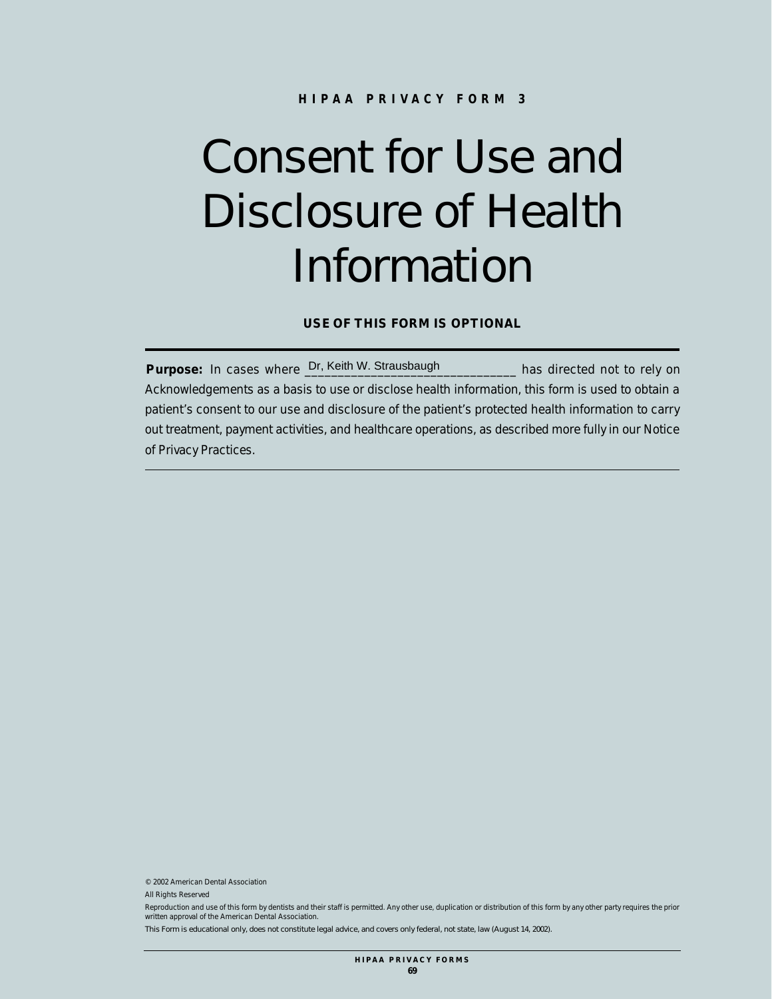## Consent for Use and Disclosure of Health Information

**USE OF THIS FORM IS OPTIONAL**

Purpose: In cases where Dr, Keith W. Strausbaugh **Example 20** has directed not to rely on Acknowledgements as a basis to use or disclose health information, this form is used to obtain a patient's consent to our use and disclosure of the patient's protected health information to carry out treatment, payment activities, and healthcare operations, as described more fully in our Notice of Privacy Practices.

© 2002 American Dental Association

All Rights Reserved

Reproduction and use of this form by dentists and their staff is permitted. Any other use, duplication or distribution of this form by any other party requires the prior written approval of the American Dental Association.

This Form is educational only, does not constitute legal advice, and covers only federal, not state, law (August 14, 2002).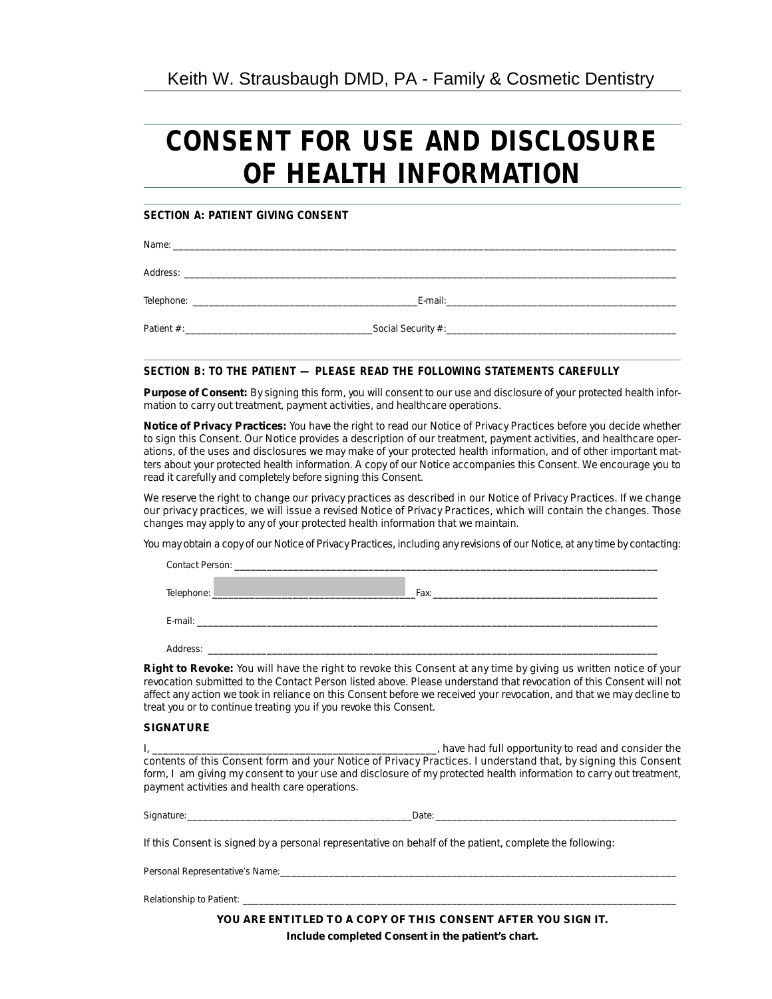## **CONSENT FOR USE AND DISCLOSURE OF HEALTH INFORMATION**

### **SECTION A: PATIENT GIVING CONSENT**

Name: \_\_\_\_\_\_\_\_\_\_\_\_\_\_\_\_\_\_\_\_\_\_\_\_\_\_\_\_\_\_\_\_\_\_\_\_\_\_\_\_\_\_\_\_\_\_\_\_\_\_\_\_\_\_\_\_\_\_\_\_\_\_\_\_\_\_\_\_\_\_\_\_\_\_\_\_\_\_\_\_\_\_\_\_\_\_\_\_\_\_\_\_\_\_

Address: \_\_\_\_\_\_\_\_\_\_\_\_\_\_\_\_\_\_\_\_\_\_\_\_\_\_\_\_\_\_\_\_\_\_\_\_\_\_\_\_\_\_\_\_\_\_\_\_\_\_\_\_\_\_\_\_\_\_\_\_\_\_\_\_\_\_\_\_\_\_\_\_\_\_\_\_\_\_\_\_\_\_\_\_\_\_\_\_\_\_\_\_

Telephone: \_\_\_\_\_\_\_\_\_\_\_\_\_\_\_\_\_\_\_\_\_\_\_\_\_\_\_\_\_\_\_\_\_\_\_\_\_\_\_\_\_\_E-mail:\_\_\_\_\_\_\_\_\_\_\_\_\_\_\_\_\_\_\_\_\_\_\_\_\_\_\_\_\_\_\_\_\_\_\_\_\_\_\_\_\_\_\_

Patient #:\_\_\_\_\_\_\_\_\_\_\_\_\_\_\_\_\_\_\_\_\_\_\_\_\_\_\_\_\_\_\_\_\_\_\_Social Security #:\_\_\_\_\_\_\_\_\_\_\_\_\_\_\_\_\_\_\_\_\_\_\_\_\_\_\_\_\_\_\_\_\_\_\_\_\_\_\_\_\_\_\_

#### **SECTION B: TO THE PATIENT — PLEASE READ THE FOLLOWING STATEMENTS CAREFULLY**

**Purpose of Consent:** By signing this form, you will consent to our use and disclosure of your protected health information to carry out treatment, payment activities, and healthcare operations.

**Notice of Privacy Practices:** You have the right to read our Notice of Privacy Practices before you decide whether to sign this Consent. Our Notice provides a description of our treatment, payment activities, and healthcare operations, of the uses and disclosures we may make of your protected health information, and of other important matters about your protected health information. A copy of our Notice accompanies this Consent. We encourage you to read it carefully and completely before signing this Consent.

We reserve the right to change our privacy practices as described in our Notice of Privacy Practices. If we change our privacy practices, we will issue a revised Notice of Privacy Practices, which will contain the changes. Those changes may apply to any of your protected health information that we maintain.

You may obtain a copy of our Notice of Privacy Practices, including any revisions of our Notice, at any time by contacting:

| Contact Person: The Contact Person and the Contact Person in the Contact Person in the Contact Person                               |      |
|-------------------------------------------------------------------------------------------------------------------------------------|------|
| Telephone:<br><u> 1989 - Johann John Stone, markin amerikan basar dan berkembang di banyak di banyak di banyak di banyak di ban</u> | Fax: |
| E-mail:                                                                                                                             |      |
| Address:                                                                                                                            |      |

**Right to Revoke:** You will have the right to revoke this Consent at any time by giving us written notice of your revocation submitted to the Contact Person listed above. Please understand that revocation of this Consent will not affect any action we took in reliance on this Consent before we received your revocation, and that we may decline to treat you or to continue treating you if you revoke this Consent.

#### **SIGNATURE**

I, \_\_\_\_\_\_\_\_\_\_\_\_\_\_\_\_\_\_\_\_\_\_\_\_\_\_\_\_\_\_\_\_\_\_\_\_\_\_\_\_\_\_\_\_\_\_\_\_\_\_\_\_, have had full opportunity to read and consider the contents of this Consent form and your Notice of Privacy Practices. I understand that, by signing this Consent form, I am giving my consent to your use and disclosure of my protected health information to carry out treatment, payment activities and health care operations.

Signature:\_\_\_\_\_\_\_\_\_\_\_\_\_\_\_\_\_\_\_\_\_\_\_\_\_\_\_\_\_\_\_\_\_\_\_\_\_\_\_\_\_\_Date: \_\_\_\_\_\_\_\_\_\_\_\_\_\_\_\_\_\_\_\_\_\_\_\_\_\_\_\_\_\_\_\_\_\_\_\_\_\_\_\_\_\_\_\_\_

If this Consent is signed by a personal representative on behalf of the patient, complete the following:

Personal Representative's Name:\_\_\_\_

Relationship to Patient: \_\_\_\_\_\_\_\_\_\_\_\_\_\_\_\_\_\_\_\_\_\_\_\_\_\_\_\_\_\_\_\_\_\_\_\_\_\_\_\_\_\_\_\_\_\_\_\_\_\_\_\_\_\_\_\_\_\_\_\_\_\_\_\_\_\_\_\_\_\_\_\_\_\_\_\_\_\_\_\_\_

**YOU ARE ENTITLED TO A COPY OF THIS CONSENT AFTER YOU SIGN IT. Include completed Consent in the patient's chart.**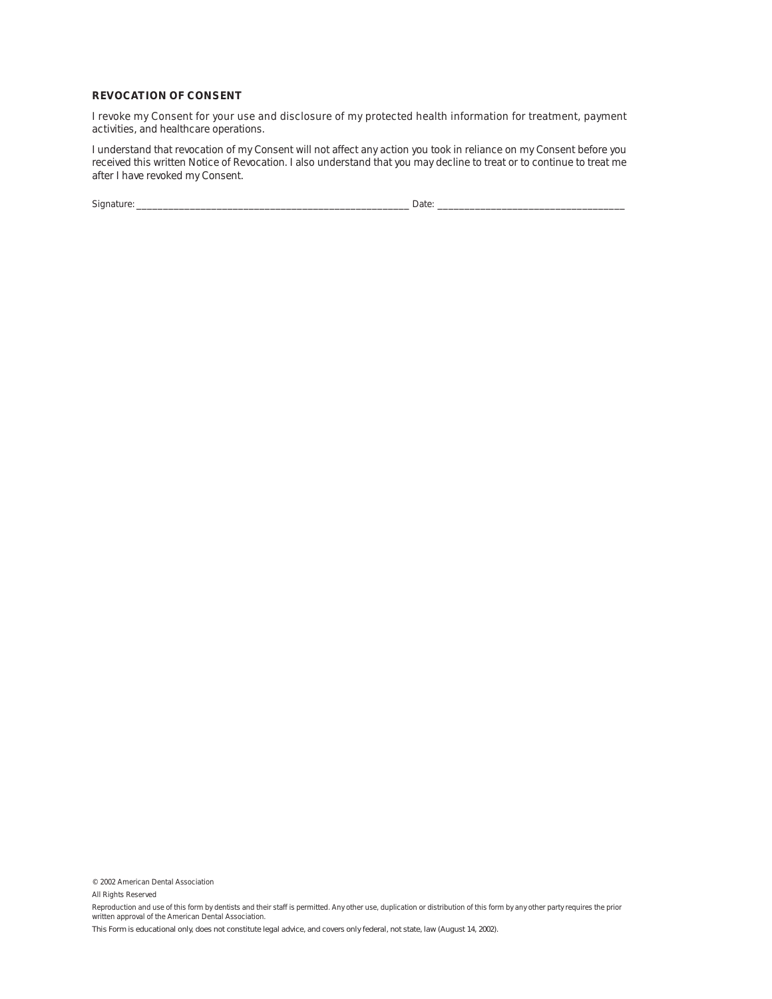#### **REVOCATION OF CONSENT**

I revoke my Consent for your use and disclosure of my protected health information for treatment, payment activities, and healthcare operations.

I understand that revocation of my Consent will not affect any action you took in reliance on my Consent before you received this written Notice of Revocation. I also understand that you may decline to treat or to continue to treat me after I have revoked my Consent.

Signature: \_\_\_\_\_\_\_\_\_\_\_\_\_\_\_\_\_\_\_\_\_\_\_\_\_\_\_\_\_\_\_\_\_\_\_\_\_\_\_\_\_\_\_\_\_\_\_\_\_\_\_ Date: \_\_\_\_\_\_\_\_\_\_\_\_\_\_\_\_\_\_\_\_\_\_\_\_\_\_\_\_\_\_\_\_\_\_\_

© 2002 American Dental Association

All Rights Reserved

Reproduction and use of this form by dentists and their staff is permitted. Any other use, duplication or distribution of this form by any other party requires the prior written approval of the American Dental Association.

This Form is educational only, does not constitute legal advice, and covers only federal, not state, law (August 14, 2002).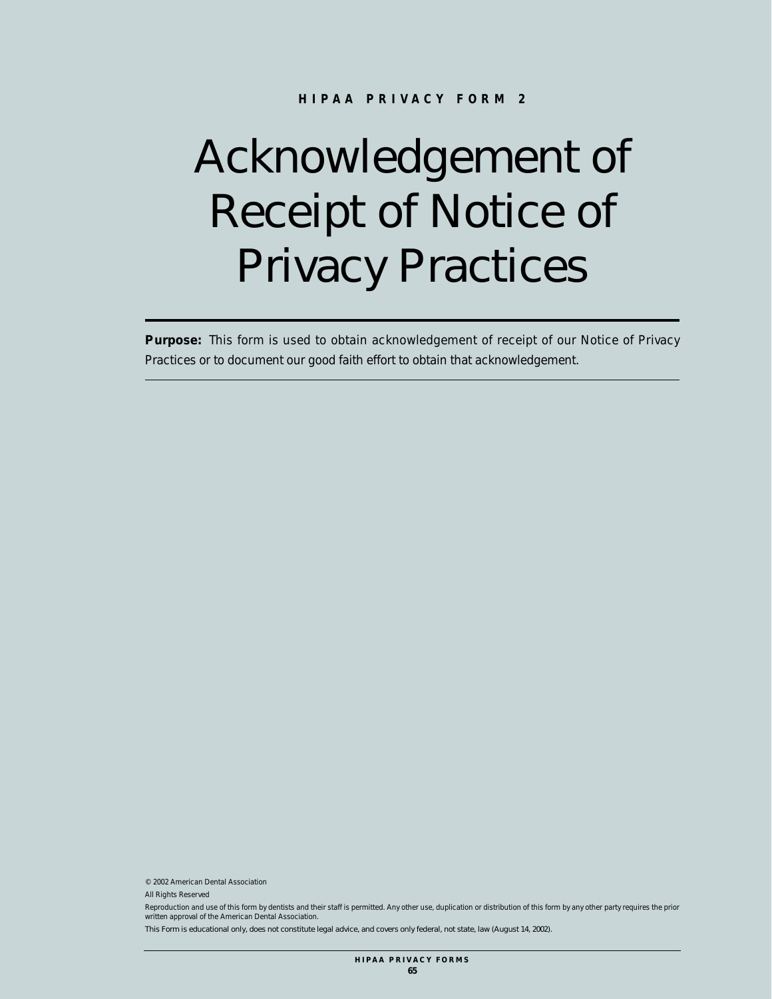# Acknowledgement of Receipt of Notice of Privacy Practices

**Purpose:** This form is used to obtain acknowledgement of receipt of our Notice of Privacy Practices or to document our good faith effort to obtain that acknowledgement.

© 2002 American Dental Association

All Rights Reserved

Reproduction and use of this form by dentists and their staff is permitted. Any other use, duplication or distribution of this form by any other party requires the prior written approval of the American Dental Association.

This Form is educational only, does not constitute legal advice, and covers only federal, not state, law (August 14, 2002).